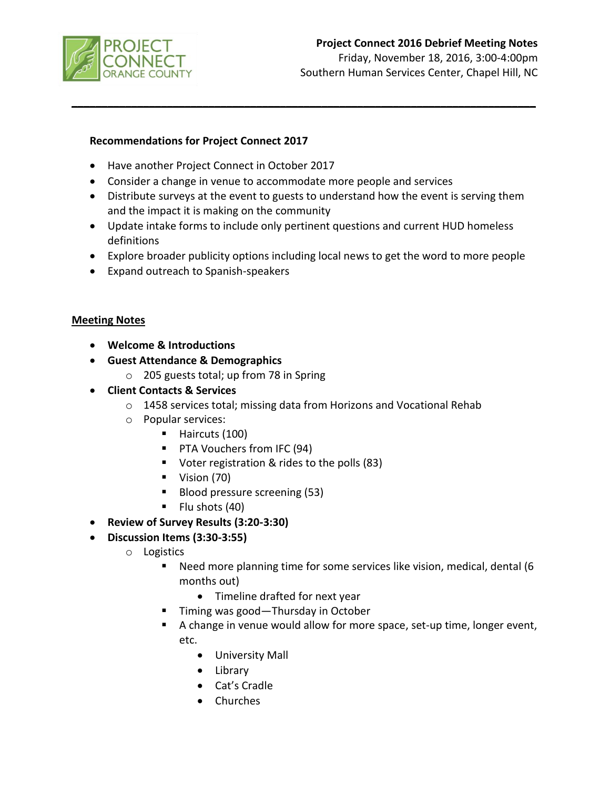

# **Project Connect 2016 Debrief Meeting Notes**

Friday, November 18, 2016, 3:00-4:00pm Southern Human Services Center, Chapel Hill, NC

### **Recommendations for Project Connect 2017**

- Have another Project Connect in October 2017
- Consider a change in venue to accommodate more people and services
- Distribute surveys at the event to guests to understand how the event is serving them and the impact it is making on the community

**\_\_\_\_\_\_\_\_\_\_\_\_\_\_\_\_\_\_\_\_\_\_\_\_\_\_\_\_\_\_\_\_\_\_\_\_\_\_\_\_\_\_\_\_\_\_\_\_\_\_\_\_\_\_\_\_\_\_\_\_\_\_\_\_\_\_\_\_\_\_\_\_\_\_\_\_\_\_**

- Update intake forms to include only pertinent questions and current HUD homeless definitions
- Explore broader publicity options including local news to get the word to more people
- Expand outreach to Spanish-speakers

#### **Meeting Notes**

- **Welcome & Introductions**
- **Guest Attendance & Demographics** 
	- o 205 guests total; up from 78 in Spring
- **Client Contacts & Services**
	- o 1458 services total; missing data from Horizons and Vocational Rehab
	- o Popular services:
		- Haircuts (100)
		- **PTA Vouchers from IFC (94)**
		- Voter registration & rides to the polls (83)
		- Vision (70)
		- Blood pressure screening (53)
		- $\blacksquare$  Flu shots (40)

### **Review of Survey Results (3:20-3:30)**

- **Discussion Items (3:30-3:55)**
	- o Logistics
		- Need more planning time for some services like vision, medical, dental (6 months out)
			- Timeline drafted for next year
		- Timing was good—Thursday in October
		- A change in venue would allow for more space, set-up time, longer event, etc.
			- University Mall
			- Library
			- Cat's Cradle
			- Churches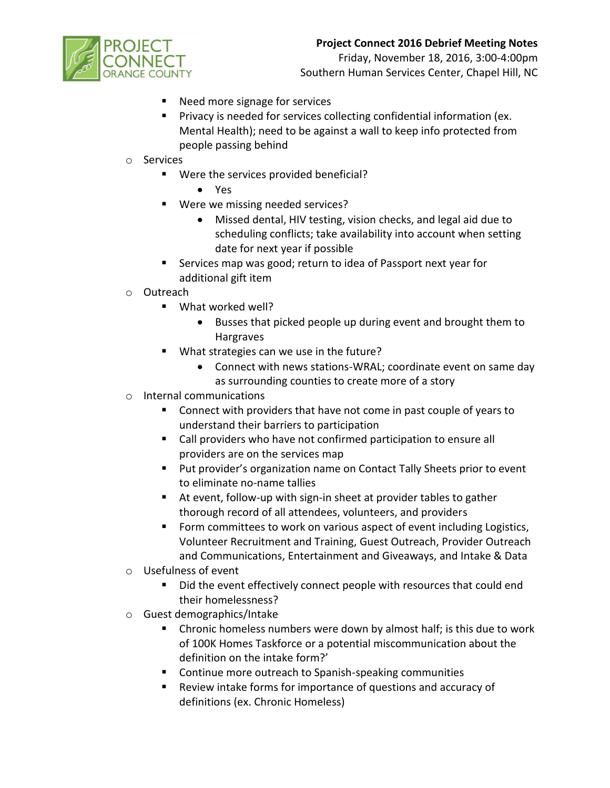# **Project Connect 2016 Debrief Meeting Notes**



Friday, November 18, 2016, 3:00-4:00pm Southern Human Services Center, Chapel Hill, NC

- Need more signage for services
- **Privacy is needed for services collecting confidential information (ex.** Mental Health); need to be against a wall to keep info protected from people passing behind
- o Services
	- Were the services provided beneficial?
		- Yes
	- Were we missing needed services?
		- Missed dental, HIV testing, vision checks, and legal aid due to scheduling conflicts; take availability into account when setting date for next year if possible
	- Services map was good; return to idea of Passport next year for additional gift item
- o Outreach
	- What worked well?
		- Busses that picked people up during event and brought them to Hargraves
	- What strategies can we use in the future?
		- Connect with news stations-WRAL; coordinate event on same day as surrounding counties to create more of a story
- o Internal communications
	- **Connect with providers that have not come in past couple of years to** understand their barriers to participation
	- Call providers who have not confirmed participation to ensure all providers are on the services map
	- **Put provider's organization name on Contact Tally Sheets prior to event** to eliminate no-name tallies
	- At event, follow-up with sign-in sheet at provider tables to gather thorough record of all attendees, volunteers, and providers
	- Form committees to work on various aspect of event including Logistics, Volunteer Recruitment and Training, Guest Outreach, Provider Outreach and Communications, Entertainment and Giveaways, and Intake & Data
- o Usefulness of event
	- Did the event effectively connect people with resources that could end their homelessness?
- o Guest demographics/Intake
	- **EXTER** Chronic homeless numbers were down by almost half; is this due to work of 100K Homes Taskforce or a potential miscommunication about the definition on the intake form?'
	- **Continue more outreach to Spanish-speaking communities**
	- Review intake forms for importance of questions and accuracy of definitions (ex. Chronic Homeless)